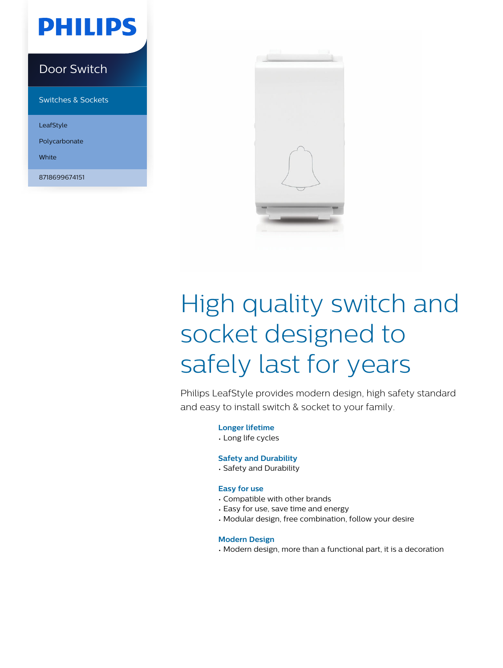## **PHILIPS**

### Door Switch

Switches & Sockets

LeafStyle

Polycarbonate

White

8718699674151



# High quality switch and socket designed to safely last for years

Philips LeafStyle provides modern design, high safety standard and easy to install switch & socket to your family.

**Longer lifetime**

• Long life cycles

### **Safety and Durability**

• Safety and Durability

### **Easy for use**

- Compatible with other brands
- Easy for use, save time and energy
- Modular design, free combination, follow your desire

### **Modern Design**

• Modern design, more than a functional part, it is a decoration